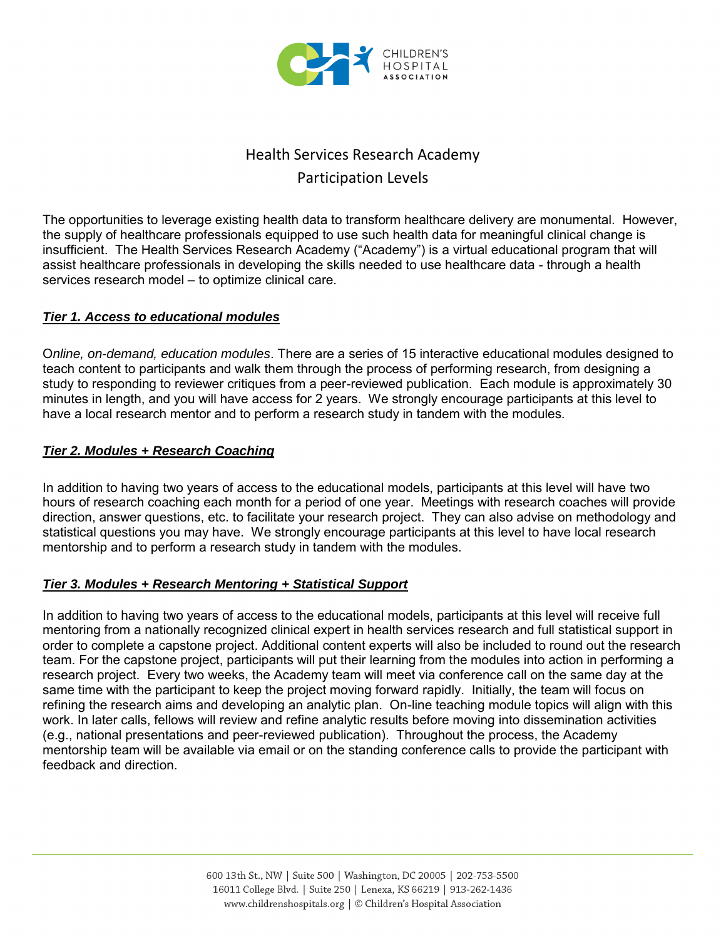

# Health Services Research Academy Participation Levels

The opportunities to leverage existing health data to transform healthcare delivery are monumental. However, the supply of healthcare professionals equipped to use such health data for meaningful clinical change is insufficient. The Health Services Research Academy ("Academy") is a virtual educational program that will assist healthcare professionals in developing the skills needed to use healthcare data - through a health services research model – to optimize clinical care.

#### *Tier 1. Access to educational modules*

O*nline, on-demand, education modules*. There are a series of 15 interactive educational modules designed to teach content to participants and walk them through the process of performing research, from designing a study to responding to reviewer critiques from a peer-reviewed publication. Each module is approximately 30 minutes in length, and you will have access for 2 years. We strongly encourage participants at this level to have a local research mentor and to perform a research study in tandem with the modules.

#### *Tier 2. Modules + Research Coaching*

In addition to having two years of access to the educational models, participants at this level will have two hours of research coaching each month for a period of one year. Meetings with research coaches will provide direction, answer questions, etc. to facilitate your research project. They can also advise on methodology and statistical questions you may have. We strongly encourage participants at this level to have local research mentorship and to perform a research study in tandem with the modules.

#### *Tier 3. Modules + Research Mentoring + Statistical Support*

In addition to having two years of access to the educational models, participants at this level will receive full mentoring from a nationally recognized clinical expert in health services research and full statistical support in order to complete a capstone project. Additional content experts will also be included to round out the research team. For the capstone project, participants will put their learning from the modules into action in performing a research project. Every two weeks, the Academy team will meet via conference call on the same day at the same time with the participant to keep the project moving forward rapidly. Initially, the team will focus on refining the research aims and developing an analytic plan. On-line teaching module topics will align with this work. In later calls, fellows will review and refine analytic results before moving into dissemination activities (e.g., national presentations and peer-reviewed publication). Throughout the process, the Academy mentorship team will be available via email or on the standing conference calls to provide the participant with feedback and direction.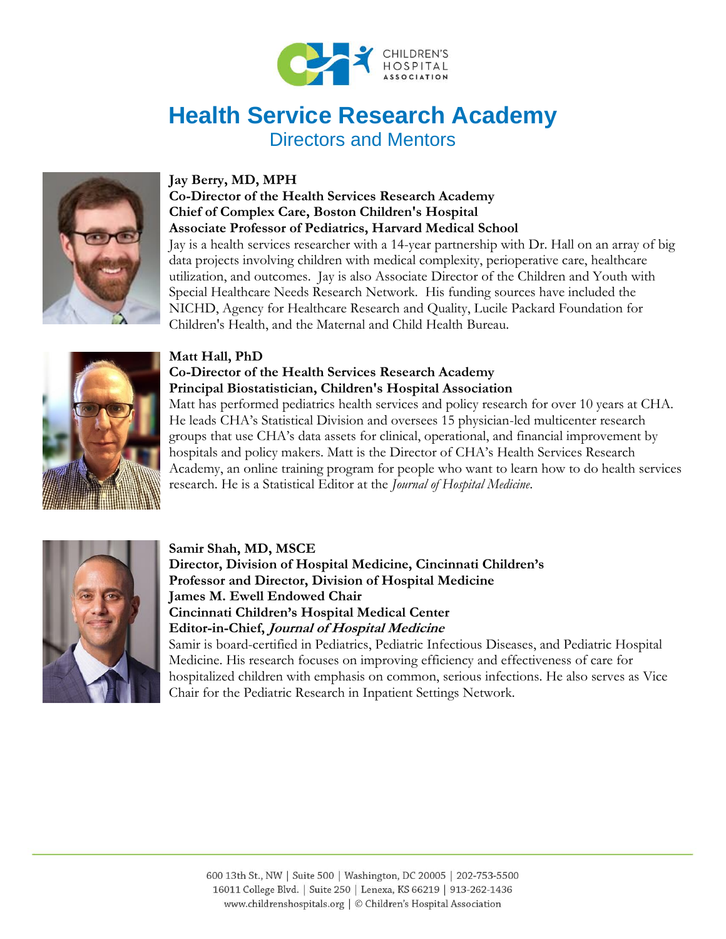

# **Health Service Research Academy**

Directors and Mentors



#### **Jay Berry, MD, MPH**

#### **Co-Director of the Health Services Research Academy Chief of Complex Care, Boston Children's Hospital Associate Professor of Pediatrics, Harvard Medical School**

Jay is a health services researcher with a 14-year partnership with Dr. Hall on an array of big data projects involving children with medical complexity, perioperative care, healthcare utilization, and outcomes. Jay is also Associate Director of the Children and Youth with Special Healthcare Needs Research Network. His funding sources have included the NICHD, Agency for Healthcare Research and Quality, Lucile Packard Foundation for Children's Health, and the Maternal and Child Health Bureau.



#### **Matt Hall, PhD**

#### **Co-Director of the Health Services Research Academy Principal Biostatistician, Children's Hospital Association**

Matt has performed pediatrics health services and policy research for over 10 years at CHA. He leads CHA's Statistical Division and oversees 15 physician-led multicenter research groups that use CHA's data assets for clinical, operational, and financial improvement by hospitals and policy makers. Matt is the Director of CHA's Health Services Research Academy, an online training program for people who want to learn how to do health services research. He is a Statistical Editor at the *Journal of Hospital Medicine*.



#### **Samir Shah, MD, MSCE**

**Director, Division of Hospital Medicine, Cincinnati Children's Professor and Director, Division of Hospital Medicine James M. Ewell Endowed Chair Cincinnati Children's Hospital Medical Center Editor-in-Chief, Journal of Hospital Medicine**

Samir is board-certified in Pediatrics, Pediatric Infectious Diseases, and Pediatric Hospital Medicine. His research focuses on improving efficiency and effectiveness of care for hospitalized children with emphasis on common, serious infections. He also serves as Vice Chair for the Pediatric Research in Inpatient Settings Network.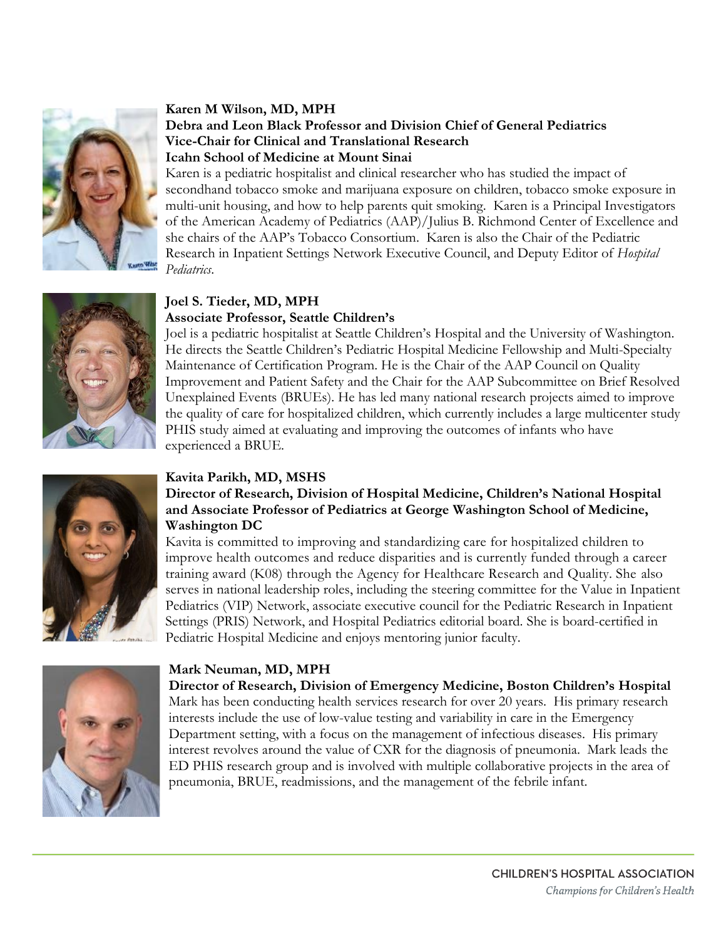

#### **Karen M Wilson, MD, MPH Debra and Leon Black Professor and Division Chief of General Pediatrics Vice-Chair for Clinical and Translational Research Icahn School of Medicine at Mount Sinai**

Karen is a pediatric hospitalist and clinical researcher who has studied the impact of secondhand tobacco smoke and marijuana exposure on children, tobacco smoke exposure in multi-unit housing, and how to help parents quit smoking. Karen is a Principal Investigators of the American Academy of Pediatrics (AAP)/Julius B. Richmond Center of Excellence and she chairs of the AAP's Tobacco Consortium. Karen is also the Chair of the Pediatric Research in Inpatient Settings Network Executive Council, and Deputy Editor of *Hospital Pediatrics*.



#### **Joel S. Tieder, MD, MPH Associate Professor, Seattle Children's**

Joel is a pediatric hospitalist at Seattle Children's Hospital and the University of Washington. He directs the Seattle Children's Pediatric Hospital Medicine Fellowship and Multi-Specialty Maintenance of Certification Program. He is the Chair of the AAP Council on Quality Improvement and Patient Safety and the Chair for the AAP Subcommittee on Brief Resolved Unexplained Events (BRUEs). He has led many national research projects aimed to improve the quality of care for hospitalized children, which currently includes a large multicenter study PHIS study aimed at evaluating and improving the outcomes of infants who have experienced a BRUE.



#### **Kavita Parikh, MD, MSHS**

#### **Director of Research, Division of Hospital Medicine, Children's National Hospital and Associate Professor of Pediatrics at George Washington School of Medicine, Washington DC**

Kavita is committed to improving and standardizing care for hospitalized children to improve health outcomes and reduce disparities and is currently funded through a career training award (K08) through the Agency for Healthcare Research and Quality. She also serves in national leadership roles, including the steering committee for the Value in Inpatient Pediatrics (VIP) Network, associate executive council for the Pediatric Research in Inpatient Settings (PRIS) Network, and Hospital Pediatrics editorial board. She is board-certified in Pediatric Hospital Medicine and enjoys mentoring junior faculty.



#### **Mark Neuman, MD, MPH**

**Director of Research, Division of Emergency Medicine, Boston Children's Hospital**  Mark has been conducting health services research for over 20 years. His primary research interests include the use of low-value testing and variability in care in the Emergency Department setting, with a focus on the management of infectious diseases. His primary interest revolves around the value of CXR for the diagnosis of pneumonia. Mark leads the ED PHIS research group and is involved with multiple collaborative projects in the area of pneumonia, BRUE, readmissions, and the management of the febrile infant.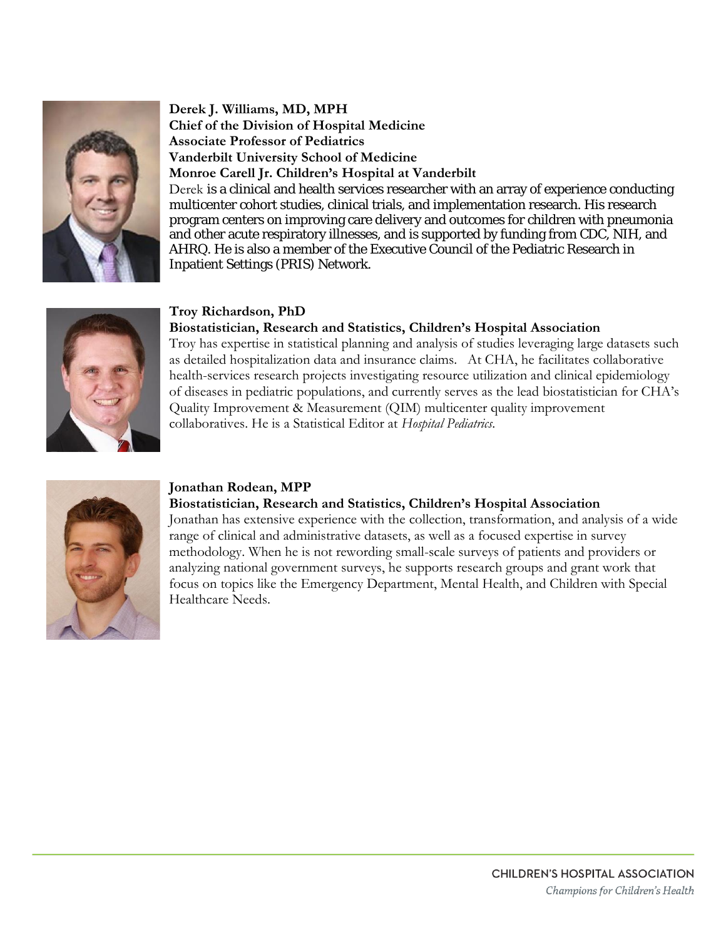

#### **Derek J. Williams, MD, MPH Chief of the Division of Hospital Medicine Associate Professor of Pediatrics Vanderbilt University School of Medicine Monroe Carell Jr. Children's Hospital at Vanderbilt**

Derek is a clinical and health services researcher with an array of experience conducting multicenter cohort studies, clinical trials, and implementation research. His research program centers on improving care delivery and outcomes for children with pneumonia and other acute respiratory illnesses, and is supported by funding from CDC, NIH, and AHRQ. He is also a member of the Executive Council of the Pediatric Research in Inpatient Settings (PRIS) Network.



#### **Troy Richardson, PhD**

#### **Biostatistician, Research and Statistics, Children's Hospital Association**

Troy has expertise in statistical planning and analysis of studies leveraging large datasets such as detailed hospitalization data and insurance claims. At CHA, he facilitates collaborative health-services research projects investigating resource utilization and clinical epidemiology of diseases in pediatric populations, and currently serves as the lead biostatistician for CHA's Quality Improvement & Measurement (QIM) multicenter quality improvement collaboratives. He is a Statistical Editor at *Hospital Pediatrics*.



#### **Jonathan Rodean, MPP**

#### **Biostatistician, Research and Statistics, Children's Hospital Association**

Jonathan has extensive experience with the collection, transformation, and analysis of a wide range of clinical and administrative datasets, as well as a focused expertise in survey methodology. When he is not rewording small-scale surveys of patients and providers or analyzing national government surveys, he supports research groups and grant work that focus on topics like the Emergency Department, Mental Health, and Children with Special Healthcare Needs.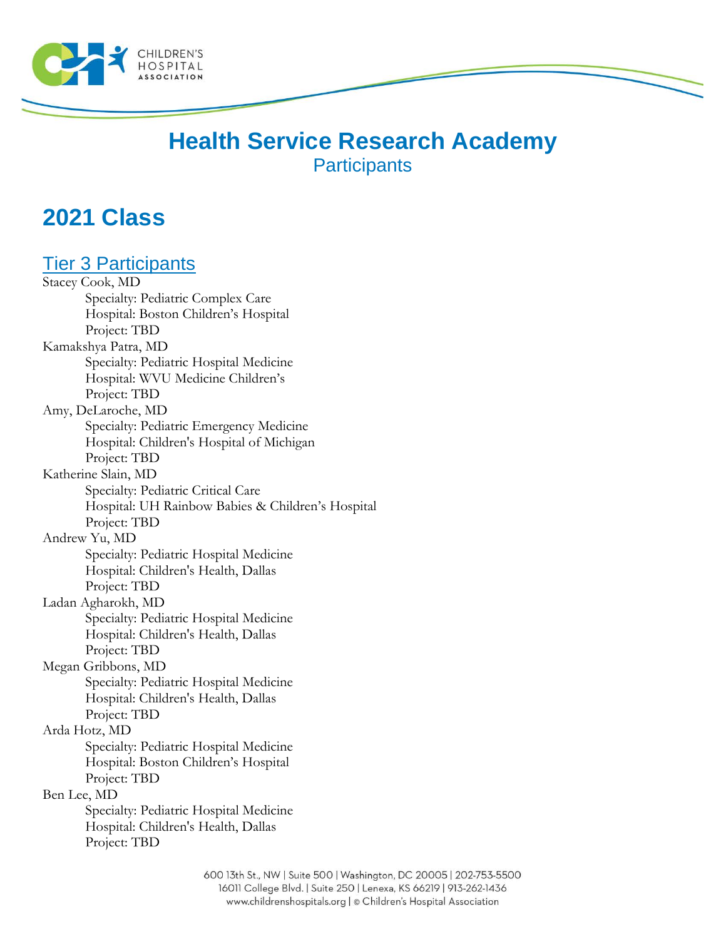

# **Health Service Research Academy Participants**

# **2021 Class**

# Tier 3 Participants

Stacey Cook, MD Specialty: Pediatric Complex Care Hospital: Boston Children's Hospital Project: TBD Kamakshya Patra, MD Specialty: Pediatric Hospital Medicine Hospital: WVU Medicine Children's Project: TBD Amy, DeLaroche, MD Specialty: Pediatric Emergency Medicine Hospital: Children's Hospital of Michigan Project: TBD Katherine Slain, MD Specialty: Pediatric Critical Care Hospital: UH Rainbow Babies & Children's Hospital Project: TBD Andrew Yu, MD Specialty: Pediatric Hospital Medicine Hospital: Children's Health, Dallas Project: TBD Ladan Agharokh, MD Specialty: Pediatric Hospital Medicine Hospital: Children's Health, Dallas Project: TBD Megan Gribbons, MD Specialty: Pediatric Hospital Medicine Hospital: Children's Health, Dallas Project: TBD Arda Hotz, MD Specialty: Pediatric Hospital Medicine Hospital: Boston Children's Hospital Project: TBD Ben Lee, MD Specialty: Pediatric Hospital Medicine Hospital: Children's Health, Dallas Project: TBD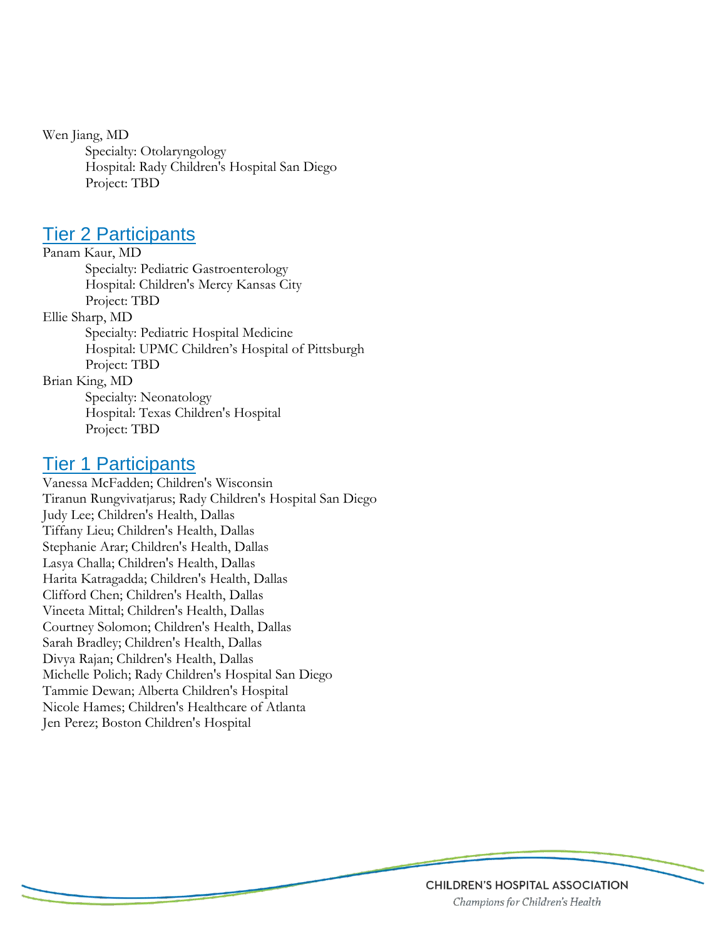Wen Jiang, MD Specialty: Otolaryngology Hospital: Rady Children's Hospital San Diego Project: TBD

### **Tier 2 Participants**

Panam Kaur, MD Specialty: Pediatric Gastroenterology Hospital: Children's Mercy Kansas City Project: TBD Ellie Sharp, MD Specialty: Pediatric Hospital Medicine Hospital: UPMC Children's Hospital of Pittsburgh Project: TBD Brian King, MD Specialty: Neonatology Hospital: Texas Children's Hospital Project: TBD

## Tier 1 Participants

Vanessa McFadden; Children's Wisconsin Tiranun Rungvivatjarus; Rady Children's Hospital San Diego Judy Lee; Children's Health, Dallas Tiffany Lieu; Children's Health, Dallas Stephanie Arar; Children's Health, Dallas Lasya Challa; Children's Health, Dallas Harita Katragadda; Children's Health, Dallas Clifford Chen; Children's Health, Dallas Vineeta Mittal; Children's Health, Dallas Courtney Solomon; Children's Health, Dallas Sarah Bradley; Children's Health, Dallas Divya Rajan; Children's Health, Dallas Michelle Polich; Rady Children's Hospital San Diego Tammie Dewan; Alberta Children's Hospital Nicole Hames; Children's Healthcare of Atlanta Jen Perez; Boston Children's Hospital

#### **CHILDREN'S HOSPITAL ASSOCIATION** Champions for Children's Health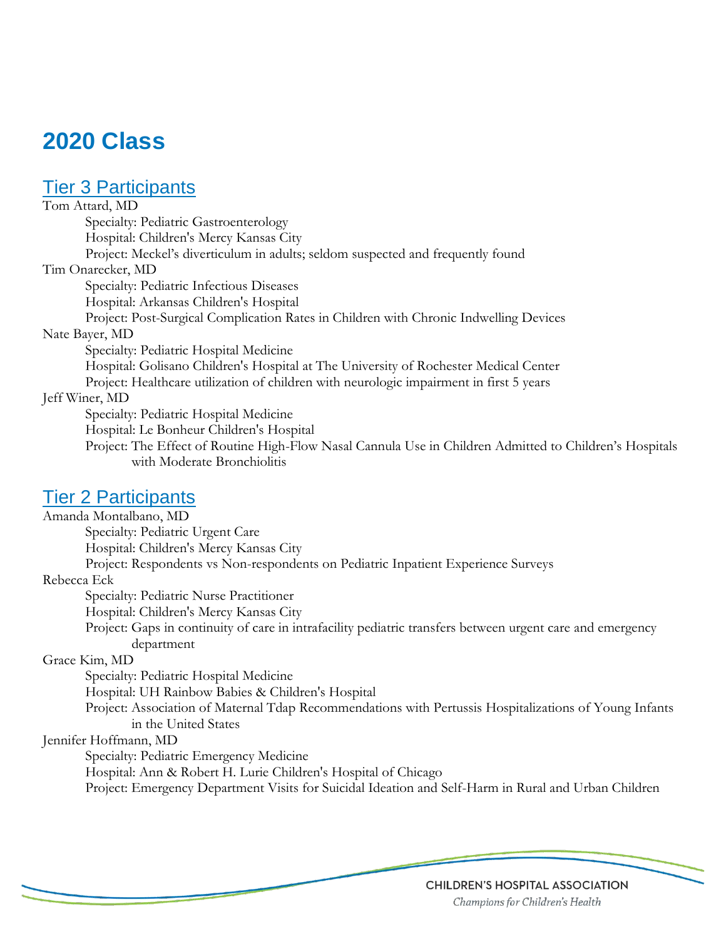# **2020 Class**

# Tier 3 Participants

Tom Attard, MD Specialty: Pediatric Gastroenterology Hospital: Children's Mercy Kansas City Project: Meckel's diverticulum in adults; seldom suspected and frequently found Tim Onarecker, MD Specialty: Pediatric Infectious Diseases Hospital: Arkansas Children's Hospital Project: Post-Surgical Complication Rates in Children with Chronic Indwelling Devices Nate Bayer, MD Specialty: Pediatric Hospital Medicine Hospital: Golisano Children's Hospital at The University of Rochester Medical Center Project: Healthcare utilization of children with neurologic impairment in first 5 years Jeff Winer, MD Specialty: Pediatric Hospital Medicine Hospital: Le Bonheur Children's Hospital Project: The Effect of Routine High-Flow Nasal Cannula Use in Children Admitted to Children's Hospitals with Moderate Bronchiolitis

### Tier 2 Participants

Amanda Montalbano, MD Specialty: Pediatric Urgent Care Hospital: Children's Mercy Kansas City Project: Respondents vs Non-respondents on Pediatric Inpatient Experience Surveys Rebecca Eck Specialty: Pediatric Nurse Practitioner Hospital: Children's Mercy Kansas City Project: Gaps in continuity of care in intrafacility pediatric transfers between urgent care and emergency department Grace Kim, MD Specialty: Pediatric Hospital Medicine Hospital: UH Rainbow Babies & Children's Hospital Project: Association of Maternal Tdap Recommendations with Pertussis Hospitalizations of Young Infants in the United States Jennifer Hoffmann, MD Specialty: Pediatric Emergency Medicine Hospital: Ann & Robert H. Lurie Children's Hospital of Chicago

Project: Emergency Department Visits for Suicidal Ideation and Self-Harm in Rural and Urban Children